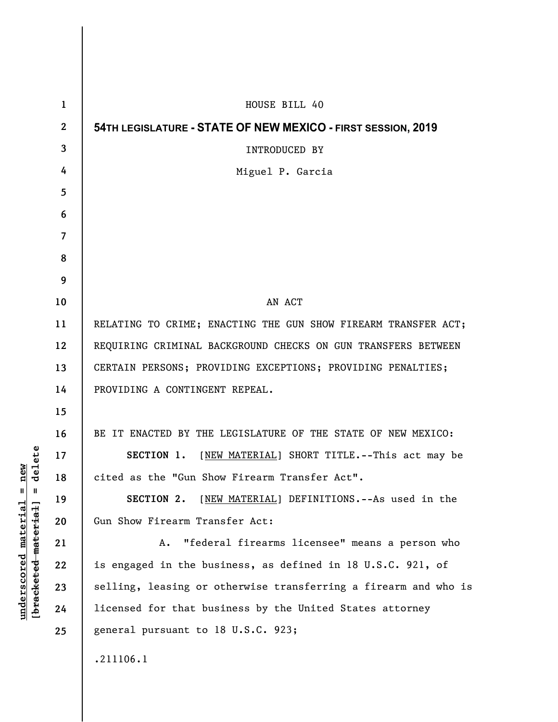| 1            | HOUSE BILL 40                                                   |
|--------------|-----------------------------------------------------------------|
| $\mathbf{2}$ | 54TH LEGISLATURE - STATE OF NEW MEXICO - FIRST SESSION, 2019    |
| 3            | <b>INTRODUCED BY</b>                                            |
| 4            | Miguel P. Garcia                                                |
| 5            |                                                                 |
| 6            |                                                                 |
| 7            |                                                                 |
| 8            |                                                                 |
| 9            |                                                                 |
| 10           | AN ACT                                                          |
| 11           | RELATING TO CRIME; ENACTING THE GUN SHOW FIREARM TRANSFER ACT;  |
| 12           | REQUIRING CRIMINAL BACKGROUND CHECKS ON GUN TRANSFERS BETWEEN   |
| 13           | CERTAIN PERSONS; PROVIDING EXCEPTIONS; PROVIDING PENALTIES;     |
| 14           | PROVIDING A CONTINGENT REPEAL.                                  |
| 15           |                                                                 |
| 16           | BE IT ENACTED BY THE LEGISLATURE OF THE STATE OF NEW MEXICO:    |
| 17           | SECTION 1. [NEW MATERIAL] SHORT TITLE. -- This act may be       |
| 18           | cited as the "Gun Show Firearm Transfer Act"                    |
| 19           | SECTION 2. [NEW MATERIAL] DEFINITIONS. -- As used in the        |
| 20           | Gun Show Firearm Transfer Act:                                  |
| 21           | "federal firearms licensee" means a person who<br>Α.            |
| 22           | is engaged in the business, as defined in 18 U.S.C. 921, of     |
| 23           | selling, leasing or otherwise transferring a firearm and who is |
| 24           | licensed for that business by the United States attorney        |
| 25           | general pursuant to 18 U.S.C. 923;                              |
|              | .211106.1                                                       |

**underscored material = new [bracketed material] = delete**

 $[**bracket eted metert et**] = **del et e**$  $underscored material = new$ 

 $\mathsf I$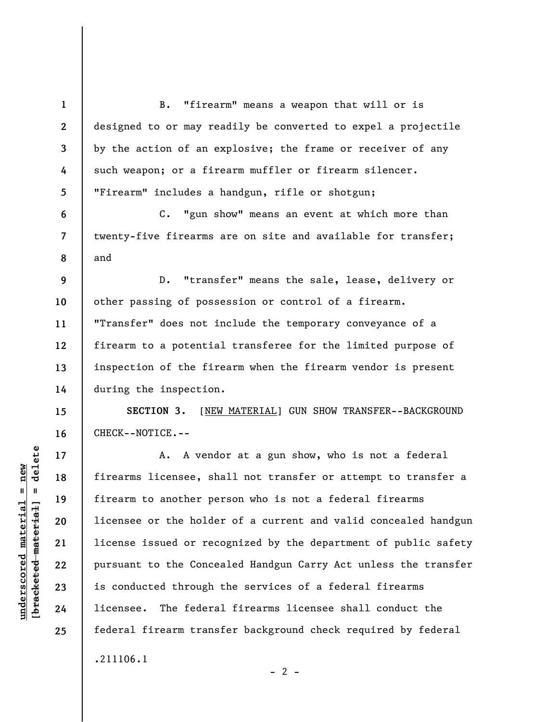**1 2 3 4 5 6 7 8 9 10 11 12 13 14 15 16 17 18 19 20 21 22 23 24 25**  B. "firearm" means a weapon that will or is designed to or may readily be converted to expel a projectile by the action of an explosive; the frame or receiver of any such weapon; or a firearm muffler or firearm silencer. "Firearm" includes a handgun, rifle or shotgun; C. "gun show" means an event at which more than twenty-five firearms are on site and available for transfer; and D. "transfer" means the sale, lease, delivery or other passing of possession or control of a firearm. "Transfer" does not include the temporary conveyance of a firearm to a potential transferee for the limited purpose of inspection of the firearm when the firearm vendor is present during the inspection. **SECTION 3.** [NEW MATERIAL] GUN SHOW TRANSFER--BACKGROUND CHECK--NOTICE.-- A. A vendor at a gun show, who is not a federal firearms licensee, shall not transfer or attempt to transfer a firearm to another person who is not a federal firearms licensee or the holder of a current and valid concealed handgun license issued or recognized by the department of public safety pursuant to the Concealed Handgun Carry Act unless the transfer is conducted through the services of a federal firearms licensee. The federal firearms licensee shall conduct the federal firearm transfer background check required by federal .211106.1

 $- 2 -$ 

 $b$ racketed material] = delete **[bracketed material] = delete**  $underscored material = new$ **underscored material = new**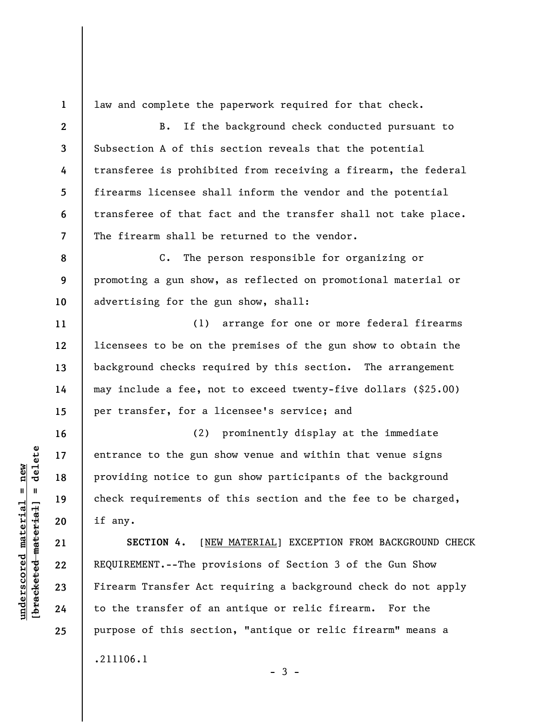**1 2** 

**4** 

**5** 

**6** 

**7** 

**11** 

**12** 

**13** 

**14** 

**15** 

**16** 

**17** 

**18** 

**19** 

**20** 

**21** 

**22** 

**23** 

**24** 

**25** 

law and complete the paperwork required for that check.

**3**  B. If the background check conducted pursuant to Subsection A of this section reveals that the potential transferee is prohibited from receiving a firearm, the federal firearms licensee shall inform the vendor and the potential transferee of that fact and the transfer shall not take place. The firearm shall be returned to the vendor.

**8 9 10**  C. The person responsible for organizing or promoting a gun show, as reflected on promotional material or advertising for the gun show, shall:

(1) arrange for one or more federal firearms licensees to be on the premises of the gun show to obtain the background checks required by this section. The arrangement may include a fee, not to exceed twenty-five dollars (\$25.00) per transfer, for a licensee's service; and

(2) prominently display at the immediate entrance to the gun show venue and within that venue signs providing notice to gun show participants of the background check requirements of this section and the fee to be charged, if any.

**SECTION 4.** [NEW MATERIAL] EXCEPTION FROM BACKGROUND CHECK REQUIREMENT.--The provisions of Section 3 of the Gun Show Firearm Transfer Act requiring a background check do not apply to the transfer of an antique or relic firearm. For the purpose of this section, "antique or relic firearm" means a .211106.1

 $-3 -$ 

 $\frac{1}{2}$  intereted material = delete **[bracketed material] = delete**  $underscored material = new$ **underscored material = new**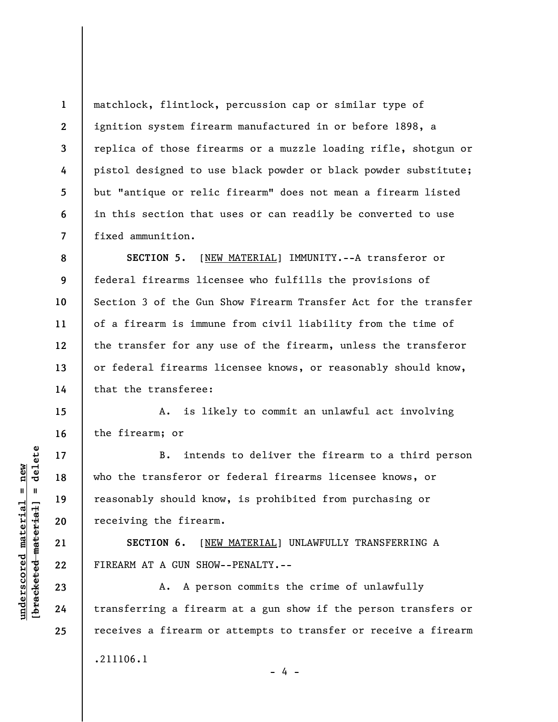matchlock, flintlock, percussion cap or similar type of ignition system firearm manufactured in or before 1898, a replica of those firearms or a muzzle loading rifle, shotgun or pistol designed to use black powder or black powder substitute; but "antique or relic firearm" does not mean a firearm listed in this section that uses or can readily be converted to use fixed ammunition.

**SECTION 5.** [NEW MATERIAL] IMMUNITY.--A transferor or federal firearms licensee who fulfills the provisions of Section 3 of the Gun Show Firearm Transfer Act for the transfer of a firearm is immune from civil liability from the time of the transfer for any use of the firearm, unless the transferor or federal firearms licensee knows, or reasonably should know, that the transferee:

A. is likely to commit an unlawful act involving the firearm; or

B. intends to deliver the firearm to a third person who the transferor or federal firearms licensee knows, or reasonably should know, is prohibited from purchasing or receiving the firearm.

**SECTION 6.** [NEW MATERIAL] UNLAWFULLY TRANSFERRING A FIREARM AT A GUN SHOW--PENALTY.--

A. A person commits the crime of unlawfully transferring a firearm at a gun show if the person transfers or receives a firearm or attempts to transfer or receive a firearm .211106.1

- 4 -

 $\frac{1}{2}$  intereted material = delete **[bracketed material] = delete**  $underscored$  material = new **underscored material = new**

**1** 

**2** 

**3** 

**4** 

**5** 

**6** 

**7** 

**8** 

**9** 

**10** 

**11** 

**12** 

**13** 

**14** 

**15** 

**16** 

**17** 

**18** 

**19** 

**20** 

**21** 

**22** 

**23** 

**24** 

**25**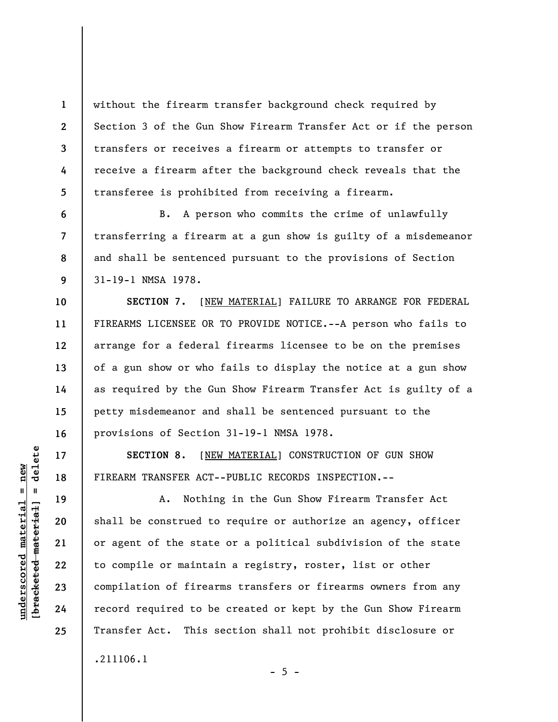without the firearm transfer background check required by Section 3 of the Gun Show Firearm Transfer Act or if the person transfers or receives a firearm or attempts to transfer or receive a firearm after the background check reveals that the transferee is prohibited from receiving a firearm.

B. A person who commits the crime of unlawfully transferring a firearm at a gun show is guilty of a misdemeanor and shall be sentenced pursuant to the provisions of Section 31-19-1 NMSA 1978.

**SECTION 7.** [NEW MATERIAL] FAILURE TO ARRANGE FOR FEDERAL FIREARMS LICENSEE OR TO PROVIDE NOTICE.--A person who fails to arrange for a federal firearms licensee to be on the premises of a gun show or who fails to display the notice at a gun show as required by the Gun Show Firearm Transfer Act is guilty of a petty misdemeanor and shall be sentenced pursuant to the provisions of Section 31-19-1 NMSA 1978.

**SECTION 8.** [NEW MATERIAL] CONSTRUCTION OF GUN SHOW FIREARM TRANSFER ACT--PUBLIC RECORDS INSPECTION.--

A. Nothing in the Gun Show Firearm Transfer Act shall be construed to require or authorize an agency, officer or agent of the state or a political subdivision of the state to compile or maintain a registry, roster, list or other compilation of firearms transfers or firearms owners from any record required to be created or kept by the Gun Show Firearm Transfer Act. This section shall not prohibit disclosure or .211106.1

 $\frac{1}{2}$  of  $\frac{1}{2}$  and  $\frac{1}{2}$  and  $\frac{1}{2}$  and  $\frac{1}{2}$  and  $\frac{1}{2}$  and  $\frac{1}{2}$  and  $\frac{1}{2}$  and  $\frac{1}{2}$  and  $\frac{1}{2}$  and  $\frac{1}{2}$  and  $\frac{1}{2}$  and  $\frac{1}{2}$  and  $\frac{1}{2}$  and  $\frac{1}{2}$  and  $\frac{1}{2}$  an **[bracketed material] = delete**  $underscored material = new$ **underscored material = new**

**1** 

**2** 

**3** 

**4** 

**5** 

**6** 

**7** 

**8** 

**9** 

**10** 

**11** 

**12** 

**13** 

**14** 

**15** 

**16** 

**17** 

**18** 

**19** 

**20** 

**21** 

**22** 

**23** 

**24** 

**25** 

 $- 5 -$